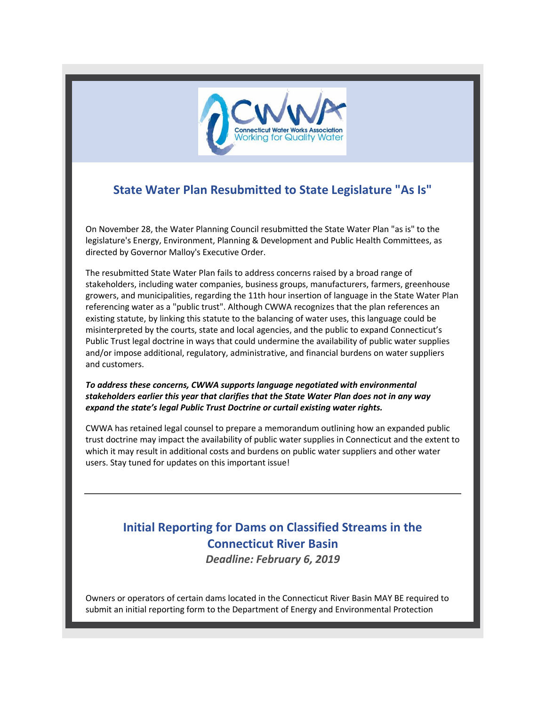

## **State Water Plan Resubmitted to State Legislature "As Is"**

On November 28, the Water Planning Council resubmitted the State Water Plan "as is" to the legislature's Energy, Environment, Planning & Development and Public Health Committees, as directed by Governor Malloy's Executive Order.

The resubmitted State Water Plan fails to address concerns raised by a broad range of stakeholders, including water companies, business groups, manufacturers, farmers, greenhouse growers, and municipalities, regarding the 11th hour insertion of language in the State Water Plan referencing water as a "public trust". Although CWWA recognizes that the plan references an existing statute, by linking this statute to the balancing of water uses, this language could be misinterpreted by the courts, state and local agencies, and the public to expand Connecticut's Public Trust legal doctrine in ways that could undermine the availability of public water supplies and/or impose additional, regulatory, administrative, and financial burdens on water suppliers and customers.

*To address these concerns, CWWA supports language negotiated with environmental stakeholders earlier this year that clarifies that the State Water Plan does not in any way expand the state's legal Public Trust Doctrine or curtail existing water rights.*

CWWA has retained legal counsel to prepare a memorandum outlining how an expanded public trust doctrine may impact the availability of public water supplies in Connecticut and the extent to which it may result in additional costs and burdens on public water suppliers and other water users. Stay tuned for updates on this important issue!

## **Initial Reporting for Dams on Classified Streams in the Connecticut River Basin**

*Deadline: February 6, 2019*

Owners or operators of certain dams located in the Connecticut River Basin MAY BE required to submit an initial reporting form to the Department of Energy and Environmental Protection